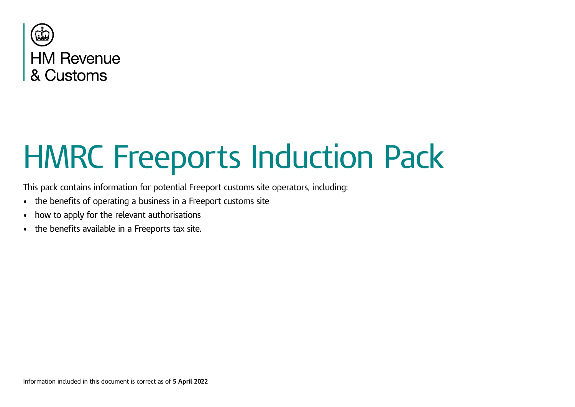

# HMRC Freeports Induction Pack

This pack contains information for potential Freeport customs site operators, including:

- the benefits of operating a business in a Freeport customs site
- how to apply for the relevant authorisations
- the benefits available in a Freeports tax site.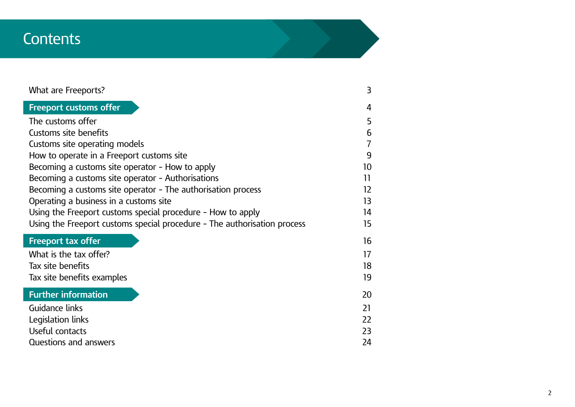## **Contents**

| What are Freeports?                                                      | 3               |
|--------------------------------------------------------------------------|-----------------|
| <b>Freeport customs offer</b>                                            | 4               |
| The customs offer                                                        | 5               |
| <b>Customs site benefits</b>                                             | 6               |
| Customs site operating models                                            | 7               |
| How to operate in a Freeport customs site                                | 9               |
| Becoming a customs site operator - How to apply                          | 10 <sup>°</sup> |
| Becoming a customs site operator - Authorisations                        | 11              |
| Becoming a customs site operator - The authorisation process             | 12              |
| Operating a business in a customs site                                   | 13              |
| Using the Freeport customs special procedure - How to apply              | 14              |
| Using the Freeport customs special procedure - The authorisation process | 15              |
| <b>Freeport tax offer</b>                                                | 16              |
| What is the tax offer?                                                   | 17              |
| Tax site benefits                                                        | 18              |
| Tax site benefits examples                                               | 19              |
| <b>Further information</b>                                               | 20              |
| Guidance links                                                           | 21              |
| Legislation links                                                        | 22              |
| Useful contacts                                                          | 23              |
| Questions and answers                                                    | 24              |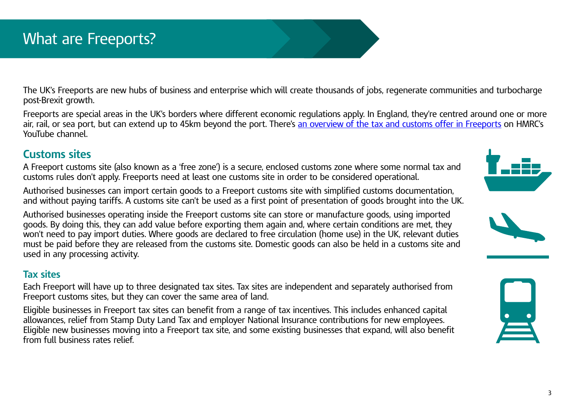## <span id="page-2-0"></span>What are Freeports?

The UK's Freeports are new hubs of business and enterprise which will create thousands of jobs, regenerate communities and turbocharge post-Brexit growth.

Freeports are special areas in the UK's borders where different economic regulations apply. In England, they're centred around one or more air, rail, or sea port, but can extend up to 45km beyond the port. There's [an overview of the tax and customs offer in Freeports](https://www.youtube.com/watch?v=5hDd1qmMHS0) on HMRC's YouTube channel.

#### **Customs sites**

A Freeport customs site (also known as a 'free zone') is a secure, enclosed customs zone where some normal tax and customs rules don't apply. Freeports need at least one customs site in order to be considered operational.

Authorised businesses can import certain goods to a Freeport customs site with simplified customs documentation, and without paying tariffs. A customs site can't be used as a first point of presentation of goods brought into the UK.

Authorised businesses operating inside the Freeport customs site can store or manufacture goods, using imported goods. By doing this, they can add value before exporting them again and, where certain conditions are met, they won't need to pay import duties. Where goods are declared to free circulation (home use) in the UK, relevant duties must be paid before they are released from the customs site. Domestic goods can also be held in a customs site and used in any processing activity.

#### **Tax sites**

Each Freeport will have up to three designated tax sites. Tax sites are independent and separately authorised from Freeport customs sites, but they can cover the same area of land.

Eligible businesses in Freeport tax sites can benefit from a range of tax incentives. This includes enhanced capital allowances, relief from Stamp Duty Land Tax and employer National Insurance contributions for new employees. Eligible new businesses moving into a Freeport tax site, and some existing businesses that expand, will also benefit from full business rates relief.





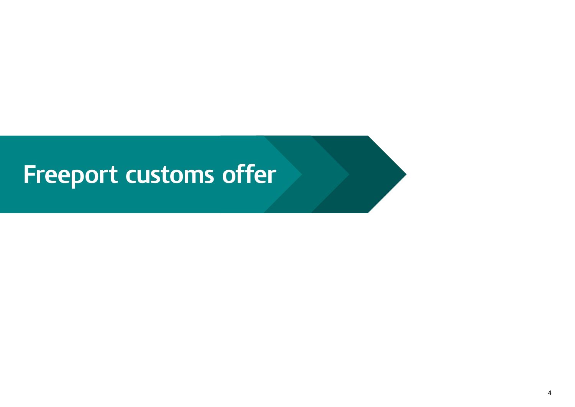## <span id="page-3-0"></span>**Freeport customs offer**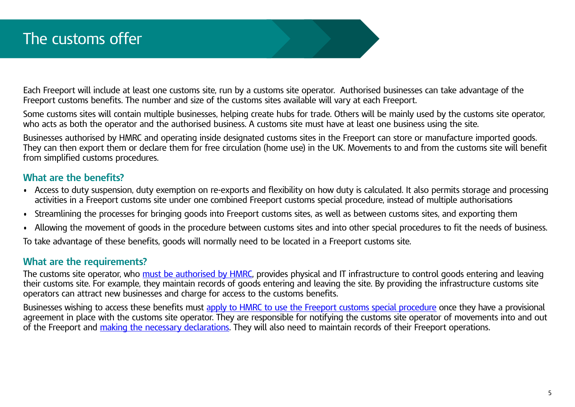<span id="page-4-0"></span>Each Freeport will include at least one customs site, run by a customs site operator. Authorised businesses can take advantage of the Freeport customs benefits. The number and size of the customs sites available will vary at each Freeport.

Some customs sites will contain multiple businesses, helping create hubs for trade. Others will be mainly used by the customs site operator, who acts as both the operator and the authorised business. A customs site must have at least one business using the site.

Businesses authorised by HMRC and operating inside designated customs sites in the Freeport can store or manufacture imported goods. They can then export them or declare them for free circulation (home use) in the UK. Movements to and from the customs site will benefit from simplified customs procedures.

#### **What are the benefits?**

- Access to duty suspension, duty exemption on re-exports and flexibility on how duty is calculated. It also permits storage and processing activities in a Freeport customs site under one combined Freeport customs special procedure, instead of multiple authorisations
- Streamlining the processes for bringing goods into Freeport customs sites, as well as between customs sites, and exporting them
- Allowing the movement of goods in the procedure between customs sites and into other special procedures to fit the needs of business.

To take advantage of these benefits, goods will normally need to be located in a Freeport customs site.

#### **What are the requirements?**

The customs site operator, who [must be authorised by HMRC](https://www.gov.uk/guidance/apply-to-be-a-freeport-customs-site-operator), provides physical and IT infrastructure to control goods entering and leaving their customs site. For example, they maintain records of goods entering and leaving the site. By providing the infrastructure customs site operators can attract new businesses and charge for access to the customs benefits.

Businesses wishing to access these benefits must [apply to HMRC to use the Freeport customs special procedure](https://www.gov.uk/guidance/apply-to-use-the-freeport-customs-special-procedure) once they have a provisional agreement in place with the customs site operator. They are responsible for notifying the customs site operator of movements into and out of the Freeport and [making the necessary declarations.](https://www.gov.uk/guidance/declaring-goods-and-paying-tax-when-using-a-freeport-customs-site) They will also need to maintain records of their Freeport operations.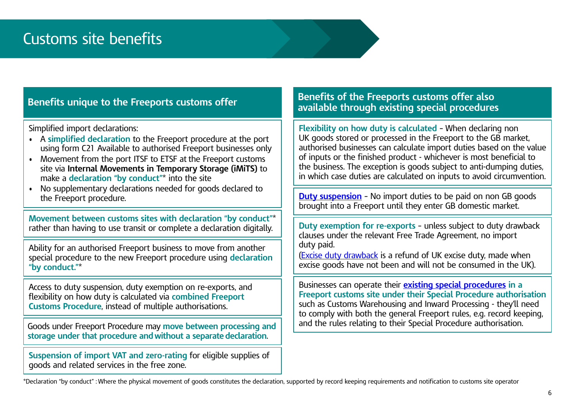#### <span id="page-5-0"></span>**Benefits unique to the Freeports customs offer**

Simplified import declarations:

- A **simplified declaration** to the Freeport procedure at the port using form C21 Available to authorised Freeport businesses only
- Movement from the port ITSF to ETSF at the Freeport customs site via **Internal Movements in Temporary Storage (iMiTS)** to make a **declaration "by conduct"**\* into the site
- No supplementary declarations needed for goods declared to the Freeport procedure.

**Movement between customs sites with declaration "by conduct"**\* rather than having to use transit or complete a declaration digitally.

Ability for an authorised Freeport business to move from another special procedure to the new Freeport procedure using **declaration "by conduct."**\*

Access to duty suspension, duty exemption on re-exports, and flexibility on how duty is calculated via **combined Freeport Customs Procedure**, instead of multiple authorisations.

Goods under Freeport Procedure may **move between processing and storage under that procedure and without a separate declaration**.

**Suspension of import VAT and zero-rating** for eligible supplies of goods and related services in the free zone.

#### **Benefits of the Freeports customs offer also available through existing special procedures**

**Flexibility on how duty is calculated** – When declaring non UK goods stored or processed in the Freeport to the GB market, authorised businesses can calculate import duties based on the value of inputs or the finished product - whichever is most beneficial to the business. The exception is goods subject to anti-dumping duties, in which case duties are calculated on inputs to avoid circumvention.

**[Duty suspension](https://www.gov.uk/guidance/duty-suspensions-and-tariff-quotas)** – No import duties to be paid on non GB goods brought into a Freeport until they enter GB domestic market.

**Duty exemption for re-exports** – unless subject to duty drawback clauses under the relevant Free Trade Agreement, no import duty paid.

[\(Excise duty drawback](https://www.gov.uk/government/publications/excise-notice-207-excise-duty-drawback) is a refund of UK excise duty, made when excise goods have not been and will not be consumed in the UK).

Businesses can operate their **[existing special procedures](https://www.gov.uk/government/collections/pay-less-or-no-duty-on-goods-you-store-repair-process-or-temporarily-use) in a Freeport customs site under their Special Procedure authorisation** such as Customs Warehousing and Inward Processing - they'll need to comply with both the general Freeport rules, e.g. record keeping, and the rules relating to their Special Procedure authorisation.

\*Declaration "by conduct" : Where the physical movement of goods constitutes the declaration, supported by record keeping requirements and notification to customs site operator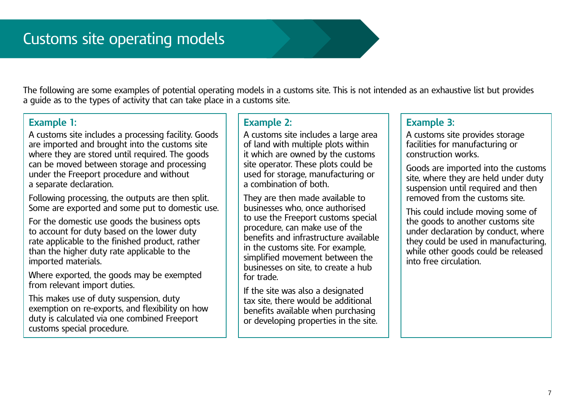<span id="page-6-0"></span>The following are some examples of potential operating models in a customs site. This is not intended as an exhaustive list but provides a guide as to the types of activity that can take place in a customs site.

#### **Example 1:**

A customs site includes a processing facility. Goods are imported and brought into the customs site where they are stored until required. The goods can be moved between storage and processing under the Freeport procedure and without a separate declaration.

Following processing, the outputs are then split. Some are exported and some put to domestic use.

For the domestic use goods the business opts to account for duty based on the lower duty rate applicable to the finished product, rather than the higher duty rate applicable to the imported materials.

Where exported, the goods may be exempted from relevant import duties.

This makes use of duty suspension, duty exemption on re-exports, and flexibility on how duty is calculated via one combined Freeport customs special procedure.

#### **Example 2:**

A customs site includes a large area of land with multiple plots within it which are owned by the customs site operator. These plots could be used for storage, manufacturing or a combination of both.

They are then made available to businesses who, once authorised to use the Freeport customs special procedure, can make use of the benefits and infrastructure available in the customs site. For example, simplified movement between the businesses on site, to create a hub for trade.

If the site was also a designated tax site, there would be additional benefits available when purchasing or developing properties in the site.

#### **Example 3:**

A customs site provides storage facilities for manufacturing or construction works.

Goods are imported into the customs site, where they are held under duty suspension until required and then removed from the customs site.

This could include moving some of the goods to another customs site under declaration by conduct, where they could be used in manufacturing, while other goods could be released into free circulation.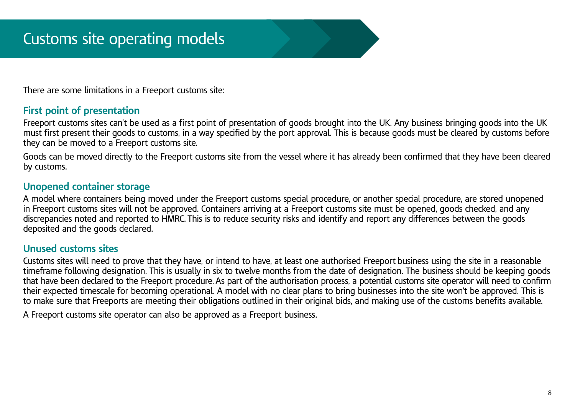There are some limitations in a Freeport customs site:

#### **First point of presentation**

Freeport customs sites can't be used as a first point of presentation of goods brought into the UK. Any business bringing goods into the UK must first present their goods to customs, in a way specified by the port approval. This is because goods must be cleared by customs before they can be moved to a Freeport customs site.

Goods can be moved directly to the Freeport customs site from the vessel where it has already been confirmed that they have been cleared by customs.

#### **Unopened container storage**

A model where containers being moved under the Freeport customs special procedure, or another special procedure, are stored unopened in Freeport customs sites will not be approved. Containers arriving at a Freeport customs site must be opened, goods checked, and any discrepancies noted and reported to HMRC. This is to reduce security risks and identify and report any differences between the goods deposited and the goods declared.

#### **Unused customs sites**

Customs sites will need to prove that they have, or intend to have, at least one authorised Freeport business using the site in a reasonable timeframe following designation. This is usually in six to twelve months from the date of designation. The business should be keeping goods that have been declared to the Freeport procedure. As part of the authorisation process, a potential customs site operator will need to confirm their expected timescale for becoming operational. A model with no clear plans to bring businesses into the site won't be approved. This is to make sure that Freeports are meeting their obligations outlined in their original bids, and making use of the customs benefits available.

A Freeport customs site operator can also be approved as a Freeport business.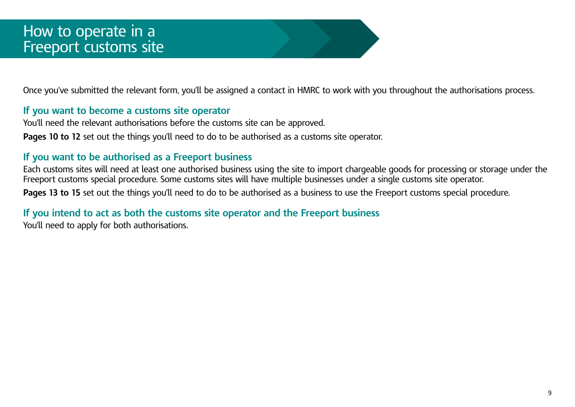<span id="page-8-0"></span>Once you've submitted the relevant form, you'll be assigned a contact in HMRC to work with you throughout the authorisations process.

#### **If you want to become a customs site operator**

You'll need the relevant authorisations before the customs site can be approved.

**Pages 10 to 12** set out the things you'll need to do to be authorised as a customs site operator.

#### **If you want to be authorised as a Freeport business**

Each customs sites will need at least one authorised business using the site to import chargeable goods for processing or storage under the Freeport customs special procedure. Some customs sites will have multiple businesses under a single customs site operator.

Pages 13 to 15 set out the things you'll need to do to be authorised as a business to use the Freeport customs special procedure.

#### **If you intend to act as both the customs site operator and the Freeport business**

You'll need to apply for both authorisations.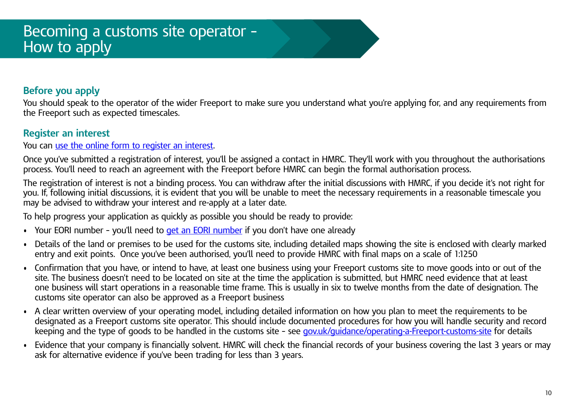#### <span id="page-9-0"></span>**Before you apply**

You should speak to the operator of the wider Freeport to make sure you understand what you're applying for, and any requirements from the Freeport such as expected timescales.

#### **Register an interest**

You can [use the online form to register an interest](https://www.gov.uk/guidance/apply-to-be-a-freeport-customs-site-operator).

Once you've submitted a registration of interest, you'll be assigned a contact in HMRC. They'll work with you throughout the authorisations process. You'll need to reach an agreement with the Freeport before HMRC can begin the formal authorisation process.

The registration of interest is not a binding process. You can withdraw after the initial discussions with HMRC, if you decide it's not right for you. If, following initial discussions, it is evident that you will be unable to meet the necessary requirements in a reasonable timescale you may be advised to withdraw your interest and re-apply at a later date.

To help progress your application as quickly as possible you should be ready to provide:

- Your EORI number you'll need to [get an EORI number](https://www.gov.uk/eori) if you don't have one already
- Details of the land or premises to be used for the customs site, including detailed maps showing the site is enclosed with clearly marked entry and exit points. Once you've been authorised, you'll need to provide HMRC with final maps on a scale of 1:1250
- Confirmation that you have, or intend to have, at least one business using your Freeport customs site to move goods into or out of the site. The business doesn't need to be located on site at the time the application is submitted, but HMRC need evidence that at least one business will start operations in a reasonable time frame. This is usually in six to twelve months from the date of designation. The customs site operator can also be approved as a Freeport business
- A clear written overview of your operating model, including detailed information on how you plan to meet the requirements to be designated as a Freeport customs site operator. This should include documented procedures for how you will handle security and record keeping and the type of goods to be handled in the customs site – see [gov.uk/guidance/operating-a-Freeport-customs-site](https://www.gov.uk/guidance/operating-a-freeport-customs-site) for details
- Evidence that your company is financially solvent. HMRC will check the financial records of your business covering the last 3 years or may ask for alternative evidence if you've been trading for less than 3 years.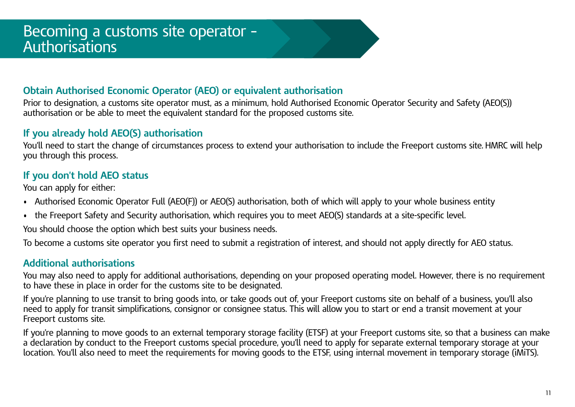#### <span id="page-10-0"></span>**Obtain Authorised Economic Operator (AEO) or equivalent authorisation**

Prior to designation, a customs site operator must, as a minimum, hold Authorised Economic Operator Security and Safety (AEO(S)) authorisation or be able to meet the equivalent standard for the proposed customs site.

#### **If you already hold AEO(S) authorisation**

You'll need to start the change of circumstances process to extend your authorisation to include the Freeport customs site. HMRC will help you through this process.

#### **If you don't hold AEO status**

You can apply for either:

- Authorised Economic Operator Full (AEO(F)) or AEO(S) authorisation, both of which will apply to your whole business entity
- the Freeport Safety and Security authorisation, which requires you to meet AEO(S) standards at a site-specific level.

You should choose the option which best suits your business needs.

To become a customs site operator you first need to submit a registration of interest, and should not apply directly for AEO status.

#### **Additional authorisations**

You may also need to apply for additional authorisations, depending on your proposed operating model. However, there is no requirement to have these in place in order for the customs site to be designated.

If you're planning to use transit to bring goods into, or take goods out of, your Freeport customs site on behalf of a business, you'll also need to apply for transit simplifications, consignor or consignee status. This will allow you to start or end a transit movement at your Freeport customs site.

If you're planning to move goods to an external temporary storage facility (ETSF) at your Freeport customs site, so that a business can make a declaration by conduct to the Freeport customs special procedure, you'll need to apply for separate external temporary storage at your location. You'll also need to meet the requirements for moving goods to the ETSF, using internal movement in temporary storage (iMiTS).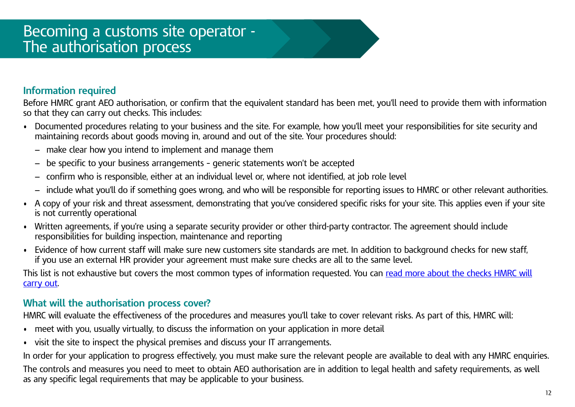#### <span id="page-11-0"></span>**Information required**

Before HMRC grant AEO authorisation, or confirm that the equivalent standard has been met, you'll need to provide them with information so that they can carry out checks. This includes:

- Documented procedures relating to your business and the site. For example, how you'll meet your responsibilities for site security and maintaining records about goods moving in, around and out of the site. Your procedures should:
	- − make clear how you intend to implement and manage them
	- − be specific to your business arrangements generic statements won't be accepted
	- − confirm who is responsible, either at an individual level or, where not identified, at job role level
	- − include what you'll do if something goes wrong, and who will be responsible for reporting issues to HMRC or other relevant authorities.
- A copy of your risk and threat assessment, demonstrating that you've considered specific risks for your site. This applies even if your site is not currently operational
- Written agreements, if you're using a separate security provider or other third-party contractor. The agreement should include responsibilities for building inspection, maintenance and reporting
- Evidence of how current staff will make sure new customers site standards are met. In addition to background checks for new staff, if you use an external HR provider your agreement must make sure checks are all to the same level.

This list is not exhaustive but covers the most common types of information requested. You can [read more about the checks HMRC will](https://www.gov.uk/guidance/authorised-economic-operator-certification) [carry out](https://www.gov.uk/guidance/authorised-economic-operator-certification).

#### **What will the authorisation process cover?**

HMRC will evaluate the effectiveness of the procedures and measures you'll take to cover relevant risks. As part of this, HMRC will:

- meet with you, usually virtually, to discuss the information on your application in more detail
- visit the site to inspect the physical premises and discuss your IT arrangements.

In order for your application to progress effectively, you must make sure the relevant people are available to deal with any HMRC enquiries. The controls and measures you need to meet to obtain AEO authorisation are in addition to legal health and safety requirements, as well as any specific legal requirements that may be applicable to your business.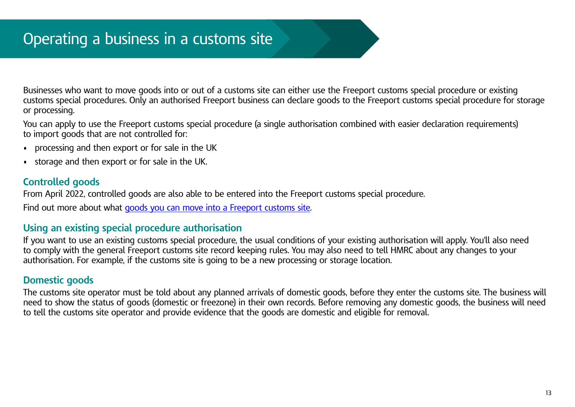<span id="page-12-0"></span>Businesses who want to move goods into or out of a customs site can either use the Freeport customs special procedure or existing customs special procedures. Only an authorised Freeport business can declare goods to the Freeport customs special procedure for storage or processing.

You can apply to use the Freeport customs special procedure (a single authorisation combined with easier declaration requirements) to import goods that are not controlled for:

- processing and then export or for sale in the UK
- storage and then export or for sale in the UK.

#### **Controlled goods**

From April 2022, controlled goods are also able to be entered into the Freeport customs special procedure.

Find out more about what [goods you can move into a Freeport customs site.](https://www.gov.uk/guidance/check-if-your-goods-can-be-moved-into-a-freeport-customs-site)

#### **Using an existing special procedure authorisation**

If you want to use an existing customs special procedure, the usual conditions of your existing authorisation will apply. You'll also need to comply with the general Freeport customs site record keeping rules. You may also need to tell HMRC about any changes to your authorisation. For example, if the customs site is going to be a new processing or storage location.

#### **Domestic goods**

The customs site operator must be told about any planned arrivals of domestic goods, before they enter the customs site. The business will need to show the status of goods (domestic or freezone) in their own records. Before removing any domestic goods, the business will need to tell the customs site operator and provide evidence that the goods are domestic and eligible for removal.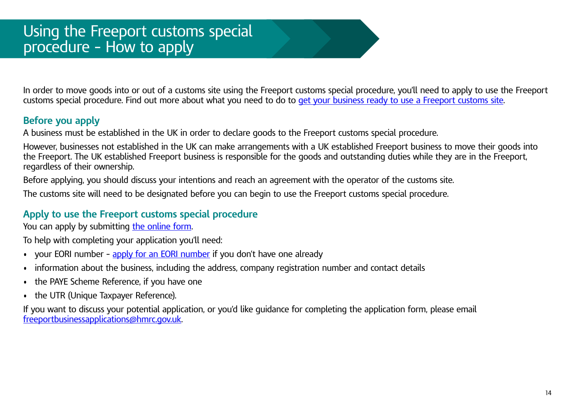<span id="page-13-0"></span>In order to move goods into or out of a customs site using the Freeport customs special procedure, you'll need to apply to use the Freeport customs special procedure. Find out more about what you need to do to [get your business ready to use a Freeport customs site.](https://www.gov.uk/guidance/get-your-business-ready-to-use-a-freeport-customs-site)

#### **Before you apply**

A business must be established in the UK in order to declare goods to the Freeport customs special procedure.

However, businesses not established in the UK can make arrangements with a UK established Freeport business to move their goods into the Freeport. The UK established Freeport business is responsible for the goods and outstanding duties while they are in the Freeport, regardless of their ownership.

Before applying, you should discuss your intentions and reach an agreement with the operator of the customs site.

The customs site will need to be designated before you can begin to use the Freeport customs special procedure.

#### **Apply to use the Freeport customs special procedure**

You can apply by submitting [the online form](https://www.gov.uk/guidance/apply-to-use-the-freeport-customs-special-procedure).

To help with completing your application you'll need:

- your EORI number [apply for an EORI number](https://www.gov.uk/eori) if you don't have one already
- information about the business, including the address, company registration number and contact details
- the PAYE Scheme Reference, if you have one
- the UTR (Unique Taxpayer Reference).

If you want to discuss your potential application, or you'd like guidance for completing the application form, please email [freeportbusinessapplications@hmrc.gov.uk](mailto:freeportbusinessapplications%40hmrc.gov.uk?subject=).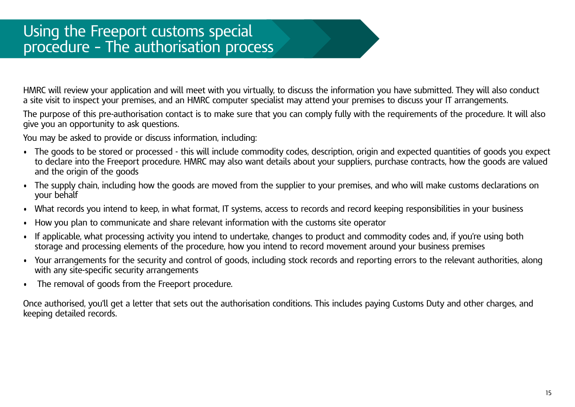<span id="page-14-0"></span>HMRC will review your application and will meet with you virtually, to discuss the information you have submitted. They will also conduct a site visit to inspect your premises, and an HMRC computer specialist may attend your premises to discuss your IT arrangements.

The purpose of this pre-authorisation contact is to make sure that you can comply fully with the requirements of the procedure. It will also give you an opportunity to ask questions.

You may be asked to provide or discuss information, including:

- The goods to be stored or processed this will include commodity codes, description, origin and expected quantities of goods you expect to declare into the Freeport procedure. HMRC may also want details about your suppliers, purchase contracts, how the goods are valued and the origin of the goods
- The supply chain, including how the goods are moved from the supplier to your premises, and who will make customs declarations on your behalf
- What records you intend to keep, in what format, IT systems, access to records and record keeping responsibilities in your business
- How you plan to communicate and share relevant information with the customs site operator
- If applicable, what processing activity you intend to undertake, changes to product and commodity codes and, if you're using both storage and processing elements of the procedure, how you intend to record movement around your business premises
- Your arrangements for the security and control of goods, including stock records and reporting errors to the relevant authorities, along with any site-specific security arrangements
- The removal of goods from the Freeport procedure.

Once authorised, you'll get a letter that sets out the authorisation conditions. This includes paying Customs Duty and other charges, and keeping detailed records.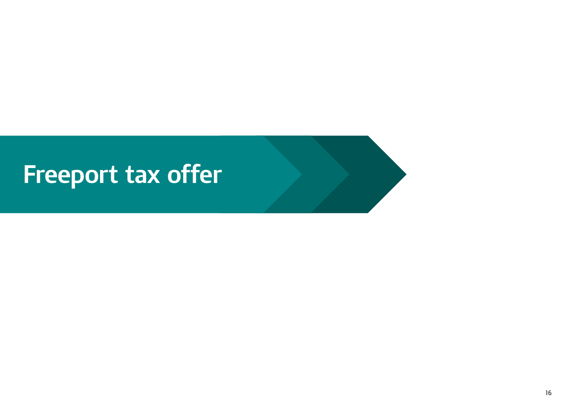## <span id="page-15-0"></span>**Freeport tax offer**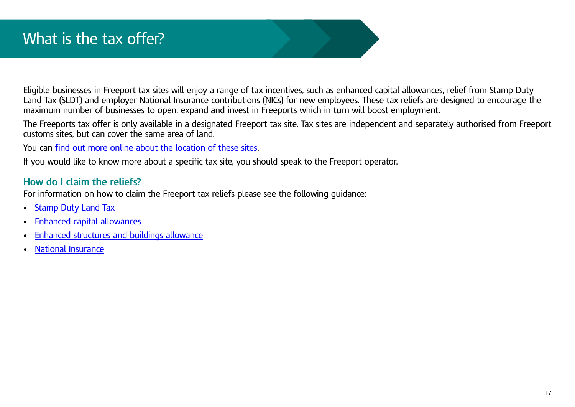<span id="page-16-0"></span>Eligible businesses in Freeport tax sites will enjoy a range of tax incentives, such as enhanced capital allowances, relief from Stamp Duty Land Tax (SLDT) and employer National Insurance contributions (NICs) for new employees. These tax reliefs are designed to encourage the maximum number of businesses to open, expand and invest in Freeports which in turn will boost employment.

The Freeports tax offer is only available in a designated Freeport tax site. Tax sites are independent and separately authorised from Freeport customs sites, but can cover the same area of land.

You can [find out more online about the location of these sites.](https://www.gov.uk/guidance/check-if-you-can-claim-relief-from-stamp-duty-land-tax-in-freeport-tax-sites)

If you would like to know more about a specific tax site, you should speak to the Freeport operator.

#### **How do I claim the reliefs?**

For information on how to claim the Freeport tax reliefs please see the following guidance:

- [Stamp Duty Land Tax](https://www.gov.uk/guidance/check-if-you-can-claim-relief-from-stamp-duty-land-tax-in-freeport-tax-sites)
- [Enhanced capital allowances](https://www.gov.uk/guidance/check-if-you-can-claim-the-enhanced-capital-allowance-relief-in-freeport-tax-sites)
- [Enhanced structures and buildings allowance](https://www.gov.uk/guidance/check-if-you-can-claim-enhanced-structures-and-buildings-allowance-relief-in-freeport-tax-sites)
- [National Insurance](https://www.gov.uk/guidance/check-if-you-can-claim-national-insurance-relief-in-freeport-tax-sites)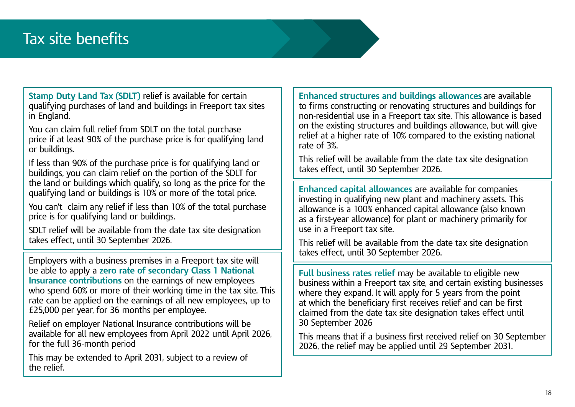### <span id="page-17-0"></span>Tax site benefits

**Stamp Duty Land Tax (SDLT)** relief is available for certain qualifying purchases of land and buildings in Freeport tax sites in England.

You can claim full relief from SDLT on the total purchase price if at least 90% of the purchase price is for qualifying land or buildings.

If less than 90% of the purchase price is for qualifying land or buildings, you can claim relief on the portion of the SDLT for the land or buildings which qualify, so long as the price for the qualifying land or buildings is 10% or more of the total price.

You can't claim any relief if less than 10% of the total purchase price is for qualifying land or buildings.

SDLT relief will be available from the date tax site designation takes effect, until 30 September 2026.

Employers with a business premises in a Freeport tax site will be able to apply a **zero rate of secondary Class 1 National Insurance contributions** on the earnings of new employees who spend 60% or more of their working time in the tax site. This rate can be applied on the earnings of all new employees, up to £25,000 per year, for 36 months per employee.

Relief on employer National Insurance contributions will be available for all new employees from April 2022 until April 2026, for the full 36-month period

This may be extended to April 2031, subject to a review of the relief.

**Enhanced structures and buildings allowances** are available to firms constructing or renovating structures and buildings for non-residential use in a Freeport tax site. This allowance is based on the existing structures and buildings allowance, but will give relief at a higher rate of 10% compared to the existing national rate of 3%.

This relief will be available from the date tax site designation takes effect, until 30 September 2026.

**Enhanced capital allowances** are available for companies investing in qualifying new plant and machinery assets. This allowance is a 100% enhanced capital allowance (also known as a first-year allowance) for plant or machinery primarily for use in a Freeport tax site.

This relief will be available from the date tax site designation takes effect, until 30 September 2026.

**Full business rates relief** may be available to eligible new business within a Freeport tax site, and certain existing businesses where they expand. It will apply for 5 years from the point at which the beneficiary first receives relief and can be first claimed from the date tax site designation takes effect until 30 September 2026

This means that if a business first received relief on 30 September 2026, the relief may be applied until 29 September 2031.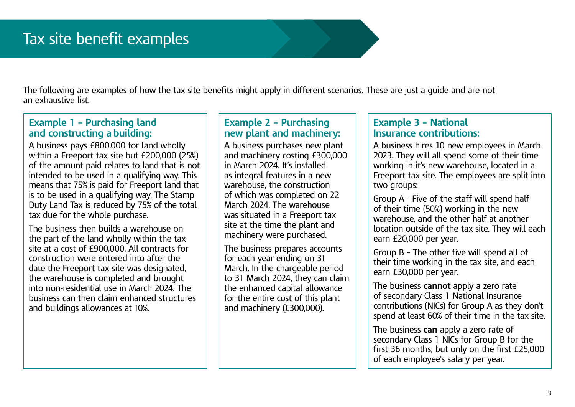<span id="page-18-0"></span>The following are examples of how the tax site benefits might apply in different scenarios. These are just a guide and are not an exhaustive list.

#### **Example 1 – Purchasing land and constructing a building:**

A business pays £800,000 for land wholly within a Freeport tax site but £200,000 (25%) of the amount paid relates to land that is not intended to be used in a qualifying way. This means that 75% is paid for Freeport land that is to be used in a qualifying way. The Stamp Duty Land Tax is reduced by 75% of the total tax due for the whole purchase.

The business then builds a warehouse on the part of the land wholly within the tax site at a cost of £900,000. All contracts for construction were entered into after the date the Freeport tax site was designated, the warehouse is completed and brought into non-residential use in March 2024. The business can then claim enhanced structures and buildings allowances at 10%.

#### **Example 2 – Purchasing new plant and machinery:**

A business purchases new plant and machinery costing £300,000 in March 2024. It's installed as integral features in a new warehouse, the construction of which was completed on 22 March 2024. The warehouse was situated in a Freeport tax site at the time the plant and machinery were purchased.

The business prepares accounts for each year ending on 31 March. In the chargeable period to 31 March 2024, they can claim the enhanced capital allowance for the entire cost of this plant and machinery (£300,000).

#### **Example 3 – National Insurance contributions:**

A business hires 10 new employees in March 2023. They will all spend some of their time working in it's new warehouse, located in a Freeport tax site. The employees are split into two groups:

Group A - Five of the staff will spend half of their time (50%) working in the new warehouse, and the other half at another location outside of the tax site. They will each earn £20,000 per year.

Group B – The other five will spend all of their time working in the tax site, and each earn £30,000 per year.

The business **cannot** apply a zero rate of secondary Class 1 National Insurance contributions (NICs) for Group A as they don't spend at least 60% of their time in the tax site.

The business **can** apply a zero rate of secondary Class 1 NICs for Group B for the first 36 months, but only on the first £25,000 of each employee's salary per year.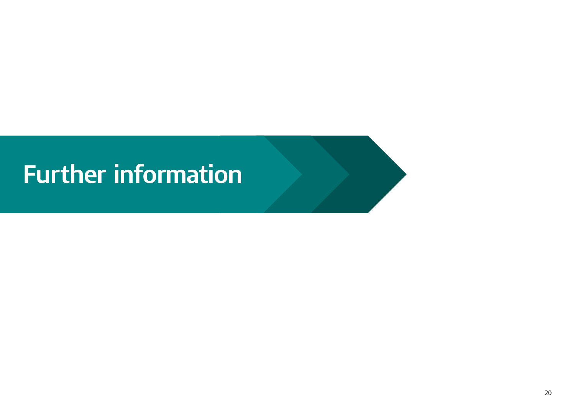## <span id="page-19-0"></span>**Further information**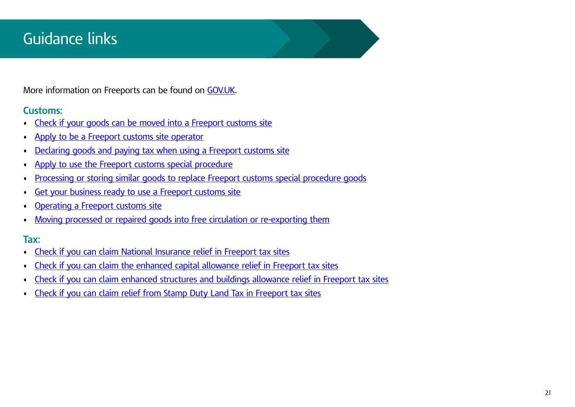## <span id="page-20-0"></span>Guidance links

More information on Freeports can be found on [GOV.UK](https://www.gov.uk/guidance/freeports).

#### **Customs:**

- [Check if your goods can be moved into a Freeport customs site](https://www.gov.uk/guidance/check-if-your-goods-can-be-moved-into-a-freeport-customs-site)
- [Apply to be a Freeport customs site operator](https://www.gov.uk/guidance/apply-to-be-a-freeport-customs-site-operator)
- [Declaring goods and paying tax when using a Freeport customs site](https://www.gov.uk/guidance/declaring-goods-and-paying-tax-when-using-a-freeport-customs-site)
- [Apply to use the Freeport customs special procedure](https://www.gov.uk/guidance/apply-to-use-the-freeport-customs-special-procedure)
- [Processing or storing similar goods to replace Freeport customs special procedure goods](https://www.gov.uk/guidance/processing-or-storing-identical-goods-to-replace-freeport-customs-special-procedure-goods)
- [Get your business ready to use a Freeport customs site](https://www.gov.uk/guidance/get-your-business-ready-to-use-a-freeport-customs-site)
- [Operating a Freeport customs site](https://www.gov.uk/guidance/operating-a-freeport-customs-site)
- [Moving processed or repaired goods into free circulation or re-exporting them](https://www.gov.uk/guidance/moving-processed-or-repaired-goods-into-free-circulation-or-re-exporting-them)

#### **Tax:**

- [Check if you can claim National Insurance relief in Freeport tax sites](https://www.gov.uk/guidance/check-if-you-can-claim-national-insurance-relief-in-freeport-tax-sites)
- [Check if you can claim the enhanced capital allowance relief in Freeport tax sites](https://www.gov.uk/guidance/check-if-you-can-claim-the-enhanced-capital-allowance-relief-in-freeport-tax-sites)
- [Check if you can claim enhanced structures and buildings allowance relief in Freeport tax sites](https://www.gov.uk/guidance/check-if-you-can-claim-enhanced-structures-and-buildings-allowance-relief-in-freeport-tax-sites)
- [Check if you can claim relief from Stamp Duty Land Tax in Freeport tax sites](https://www.gov.uk/guidance/check-if-you-can-claim-relief-from-stamp-duty-land-tax-in-freeport-tax-sites)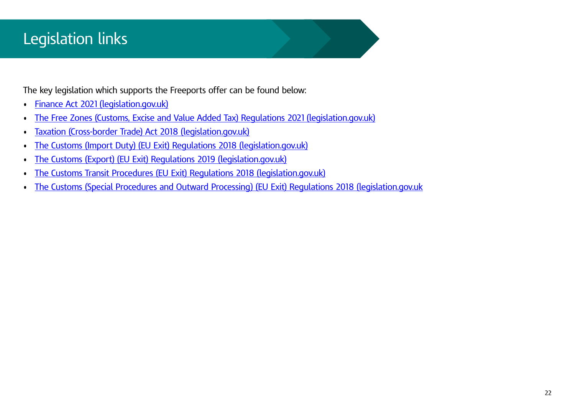## <span id="page-21-0"></span>Legislation links

The key legislation which supports the Freeports offer can be found below:

- Finance Act 2021 (legislation.gov.uk)
- The Free Zones (Customs, Excise and Value Added Tax) Regulations 2021 (legislation.gov.uk)
- [Taxation \(Cross-border Trade\) Act 2018 \(legislation.gov.uk\)](https://www.legislation.gov.uk/ukpga/2018/22/contents/enacted)
- [The Customs \(Import Duty\) \(EU Exit\) Regulations 2018 \(legislation.gov.uk\)](https://www.legislation.gov.uk/uksi/2018/1248/made)
- [The Customs \(Export\) \(EU Exit\) Regulations 2019 \(legislation.gov.uk\)](https://www.legislation.gov.uk/uksi/2019/108/made)
- [The Customs Transit Procedures \(EU Exit\) Regulations 2018 \(legislation.gov.uk\)](https://www.legislation.gov.uk/uksi/2018/1258/contents/made)
- [The Customs \(Special Procedures and Outward Processing\) \(EU Exit\) Regulations 2018 \(legislation.gov.uk](https://www.legislation.gov.uk/uksi/2018/1249/contents/made)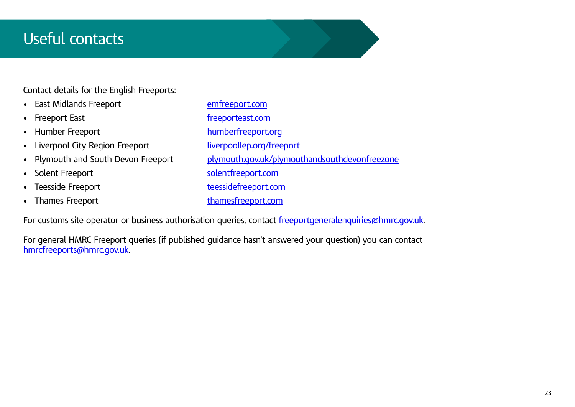### <span id="page-22-0"></span>Useful contacts

Contact details for the English Freeports:

- East Midlands Freeport [emfreeport.com](https://www.emfreeport.com/)
- 
- 
- Liverpool City Region Freeport [liverpoollep.org/freeport](https://liverpoollep.org/freeport/)
- 
- 
- 
- 
- Freeport East **[freeporteast.com](https://www.freeporteast.com/)** • Humber Freeport [humberfreeport.org](https://humberfreeport.org/) Plymouth and South Devon Freeport [plymouth.gov.uk/plymouthandsouthdevonfreezone](https://www.plymouth.gov.uk/plymouthandsouthdevonfreeport) • Solent Freeport [solentfreeport.com](https://www.solentfreeport.com/) **Freezuge Freeport 1986 Teessidefreeport.com** • Thames Freeport thames freeport thames freeport thames freeport.com

For customs site operator or business authorisation queries, contact [freeportgeneralenquiries@hmrc.gov.uk.](mailto:freeportgeneralenquiries%40hmrc.gov.uk?subject=)

For general HMRC Freeport queries (if published guidance hasn't answered your question) you can contact [hmrcfreeports@hmrc.gov.uk](mailto:hmrcfreeports%40hmrc.gov.uk?subject=).